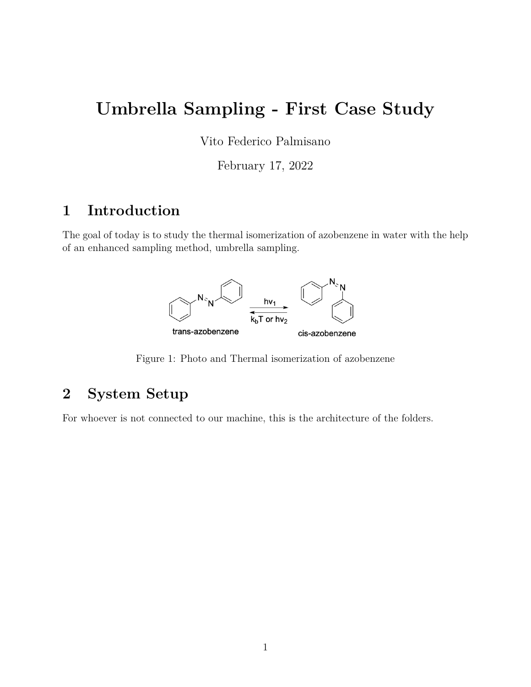# **Umbrella Sampling - First Case Study**

Vito Federico Palmisano

February 17, 2022

## **1 Introduction**

The goal of today is to study the thermal isomerization of azobenzene in water with the help of an enhanced sampling method, umbrella sampling.



Figure 1: Photo and Thermal isomerization of azobenzene

## **2 System Setup**

For whoever is not connected to our machine, this is the architecture of the folders.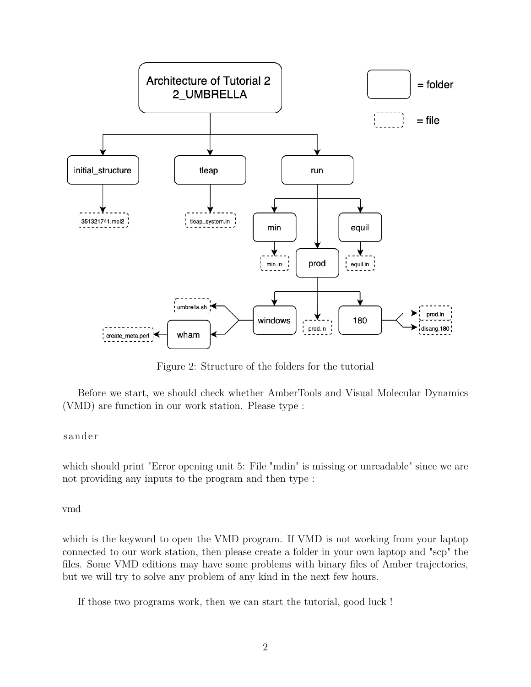

Figure 2: Structure of the folders for the tutorial

Before we start, we should check whether AmberTools and Visual Molecular Dynamics (VMD) are function in our work station. Please type :

#### sander

which should print "Error opening unit 5: File "mdin" is missing or unreadable" since we are not providing any inputs to the program and then type :

vmd

which is the keyword to open the VMD program. If VMD is not working from your laptop connected to our work station, then please create a folder in your own laptop and "scp" the files. Some VMD editions may have some problems with binary files of Amber trajectories, but we will try to solve any problem of any kind in the next few hours.

If those two programs work, then we can start the tutorial, good luck !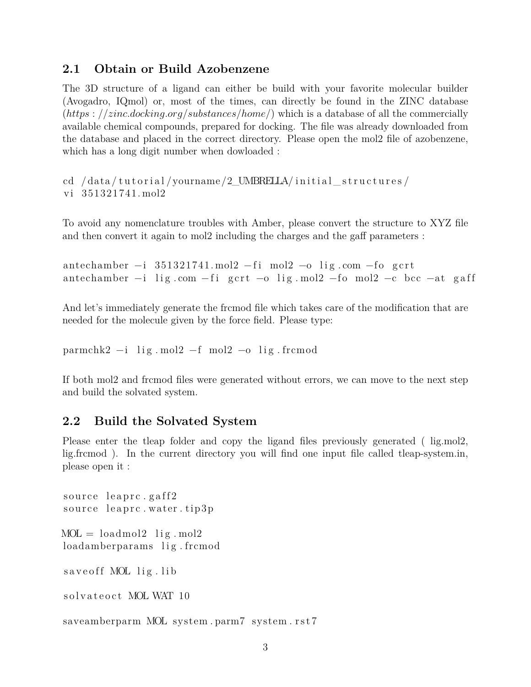#### **2.1 Obtain or Build Azobenzene**

The 3D structure of a ligand can either be build with your favorite molecular builder (Avogadro, IQmol) or, most of the times, can directly be found in the ZINC database (*https* : *//zinc.docking.org/substances/home/*) which is a database of all the commercially available chemical compounds, prepared for docking. The file was already downloaded from the database and placed in the correct directory. Please open the mol2 file of azobenzene, which has a long digit number when dowloaded :

cd /data/tutorial/yourname/2\_UMBRELLA/initial\_structures/ vi 351321741. mol2

To avoid any nomenclature troubles with Amber, please convert the structure to XYZ file and then convert it again to mol2 including the charges and the gaff parameters :

antechamber  $-i$  351321741. mol2  $-fi$  mol2  $-o$  lig.com  $-fo$  gcrt antechamber  $-i$  lig.com  $-f_i$  gcrt  $-o$  lig.mol2  $-f_0$  mol2  $-c$  bcc  $-at$  gaff

And let's immediately generate the frcmod file which takes care of the modification that are needed for the molecule given by the force field. Please type:

parmchk2  $-i$  lig. mol2  $-f$  mol2  $-o$  lig. frcmod

If both mol2 and frcmod files were generated without errors, we can move to the next step and build the solvated system.

#### **2.2 Build the Solvated System**

Please enter the tleap folder and copy the ligand files previously generated ( lig.mol2, lig.frcmod ). In the current directory you will find one input file called tleap-system.in, please open it :

```
source leaprc.gaff2
source leaprc.water.tip3p
MOL = loadmol2 lig.mol2
loadamberparams lig.frcmod
save of f MOL lig. lib
solvateoct MOL WAT 10
```
saveamberparm MOL system.parm7 system.rst7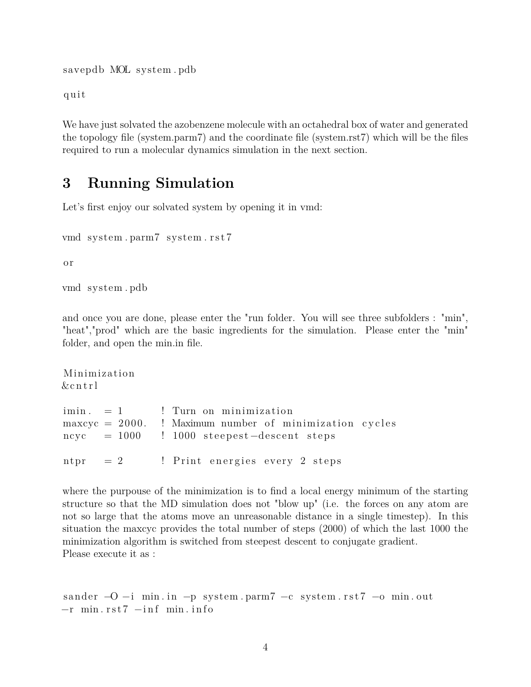savepdb MOL system . pdb

q ui t

We have just solvated the azobenzene molecule with an octahedral box of water and generated the topology file (system.parm7) and the coordinate file (system.rst7) which will be the files required to run a molecular dynamics simulation in the next section.

### **3 Running Simulation**

Let's first enjoy our solvated system by opening it in vmd:

```
vmd system . parm7 system . r s t 7
```
o r

vmd system . pdb

and once you are done, please enter the "run folder. You will see three subfolders : "min", "heat","prod" which are the basic ingredients for the simulation. Please enter the "min" folder, and open the min.in file.

Minimiza tion &c n t r l  $\min. = 1$  ! Turn on minimization  $maxcyc = 2000$ . ! Maximum number of minimization cycles  $n c y c = 1000$  ! 1000 steepest-descent steps  $n_{\rm tr}$  = 2  $\;$ ! Print energies every 2 steps

where the purpouse of the minimization is to find a local energy minimum of the starting structure so that the MD simulation does not "blow up" (i.e. the forces on any atom are not so large that the atoms move an unreasonable distance in a single timestep). In this situation the maxcyc provides the total number of steps (2000) of which the last 1000 the minimization algorithm is switched from steepest descent to conjugate gradient. Please execute it as :

```
sander -O −i min. in -p system. parm7 -c system. rst7 -o min. out
-r min.rst7 -inf min.info
```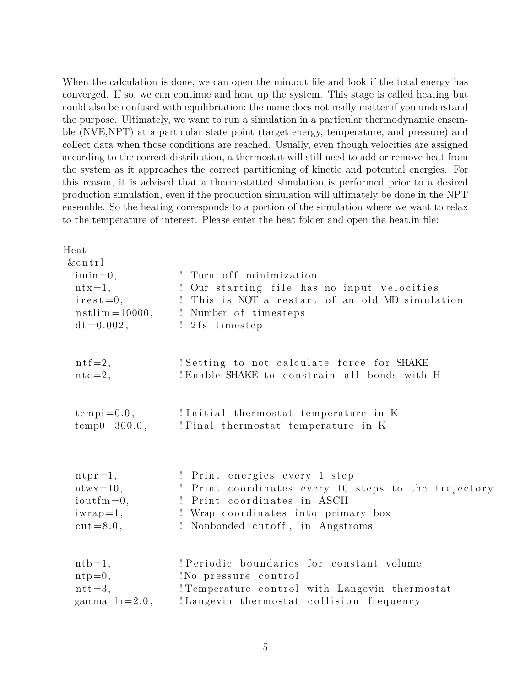When the calculation is done, we can open the min.out file and look if the total energy has converged. If so, we can continue and heat up the system. This stage is called heating but could also be confused with equilibriation; the name does not really matter if you understand the purpose. Ultimately, we want to run a simulation in a particular thermodynamic ensemble (NVE,NPT) at a particular state point (target energy, temperature, and pressure) and collect data when those conditions are reached. Usually, even though velocities are assigned according to the correct distribution, a thermostat will still need to add or remove heat from the system as it approaches the correct partitioning of kinetic and potential energies. For this reason, it is advised that a thermostatted simulation is performed prior to a desired production simulation, even if the production simulation will ultimately be done in the NPT ensemble. So the heating corresponds to a portion of the simulation where we want to relax to the temperature of interest. Please enter the heat folder and open the heat.in file:

| Heat                                   |                                                      |
|----------------------------------------|------------------------------------------------------|
| &cr1                                   |                                                      |
| $imin=0,$                              | ! Turn off minimization                              |
| $ntx=1$ ,                              | ! Our starting file has no input velocities          |
| $i$ rest=0,                            | ! This is NOT a restart of an old MD simulation      |
| $nstlim = 10000,$                      | ! Number of timesteps                                |
| $dt = 0.002$ ,                         | ! 2fs timestep                                       |
| $n \text{tf} = 2,$                     | Setting to not calculate force for SHAKE             |
| $ntc=2,$                               | ! Enable SHAKE to constrain all bonds with H         |
| $tempi = 0.0,$                         | !Initial thermostat temperature in K                 |
| $temp0 = 300.0,$                       | ! Final thermostat temperature in K                  |
|                                        |                                                      |
| $n \text{tr} = 1$ ,                    | ! Print energies every 1 step                        |
| $ntwx=10,$                             | ! Print coordinates every 10 steps to the trajectory |
| $i$ outfm=0,                           | ! Print coordinates in ASCII                         |
| $iwrap=1,$                             | ! Wrap coordinates into primary box                  |
| $cut = 8.0$ ,                          | ! Nonbonded cutoff, in Angstroms                     |
| $\text{ntb}=1$ ,                       | ! Periodic boundaries for constant volume            |
| $ntp=0,$                               | !No pressure control                                 |
| $ntt=3,$                               | ! Temperature control with Langevin thermostat       |
| gamma <sub><math>\ln</math>=2.0,</sub> | !Langevin thermostat collision frequency             |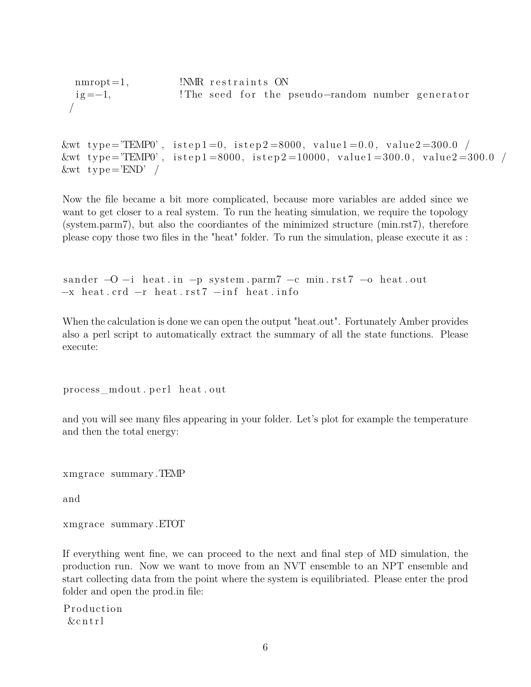```
\text{mmrot}=1, \text{NMR} restraints ON
ig = -1, ! The seed for the pseudo-random number generator
/
```

```
&wt type="TEMP0', istep1=0, istep2=8000, value1=0.0, value2=300.0 /
&\text{wt type} = 'TEMP0', istep1 = 8000, istep2 = 10000, value1 = 300.0, value2 = 300.0 /&\text{wt type} = 'END' /
```
Now the file became a bit more complicated, because more variables are added since we want to get closer to a real system. To run the heating simulation, we require the topology (system.parm7), but also the coordiantes of the minimized structure (min.rst7), therefore please copy those two files in the "heat" folder. To run the simulation, please execute it as :

```
sander -O -i heat in -p system . parm7 -c min rst7 -o heat . out
-x heat \text{ord}-r heat \text{rst7}-\text{inf} heat . info
```
When the calculation is done we can open the output "heat.out". Fortunately Amber provides also a perl script to automatically extract the summary of all the state functions. Please execute:

process mdout . perl heat . out

and you will see many files appearing in your folder. Let's plot for example the temperature and then the total energy:

xmgrace summary .TEMP

and

xmgrace summary .ETOT

If everything went fine, we can proceed to the next and final step of MD simulation, the production run. Now we want to move from an NVT ensemble to an NPT ensemble and start collecting data from the point where the system is equilibriated. Please enter the prod folder and open the prod.in file:

**Production**  $&$  cntrl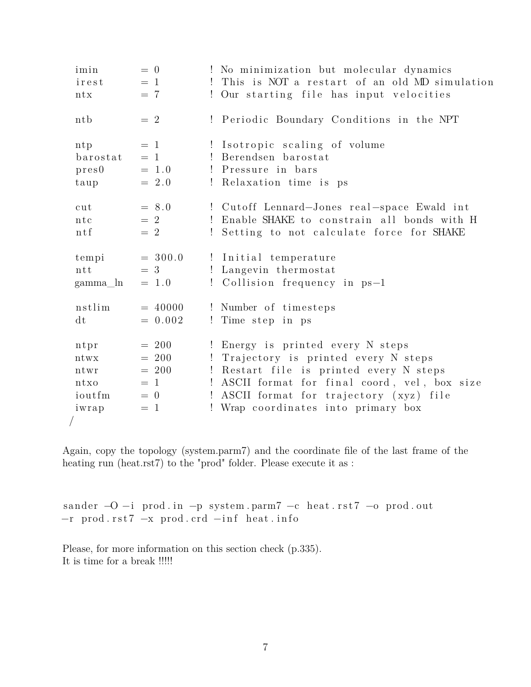| imin<br>irest<br>ntx                            | $= 0$<br>$=$ 1<br>$= 7$                                  | No minimization but molecular dynamics<br>This is NOT a restart of an old MD simulation<br>Our starting file has input velocities<br>Ţ.                                                                                                            |
|-------------------------------------------------|----------------------------------------------------------|----------------------------------------------------------------------------------------------------------------------------------------------------------------------------------------------------------------------------------------------------|
| ntb                                             | $= 2$                                                    | Periodic Boundary Conditions in the NPT<br>Ţ.                                                                                                                                                                                                      |
| ntp<br>barostat<br>pres0<br>taup                | $=$ 1<br>$= 1$<br>$= 1.0$<br>$= 2.0$                     | ! Isotropic scaling of volume<br>Berendsen barostat<br>L<br>! Pressure in bars<br>Relaxation time is ps<br>$\Gamma$                                                                                                                                |
| cut<br>ntc<br>$n \, t \, f$                     | $= 8.0$<br>$= 2$<br>$= 2$                                | ! Cutoff Lennard-Jones real-space Ewald int<br>Enable SHAKE to constrain all bonds with H<br>Setting to not calculate force for SHAKE                                                                                                              |
| tempi<br>ntt<br>gamma_ln                        | $= 300.0$<br>$=$ 3<br>$= 1.0$                            | Initial temperature<br>Langevin thermostat<br>Ţ.<br>Collision frequency in ps-1<br>L                                                                                                                                                               |
| nstlim<br>dt                                    | $= 40000$<br>$= 0.002$                                   | ! Number of timesteps<br>Time step in ps<br>Ţ                                                                                                                                                                                                      |
| ntpr<br>ntwx<br>ntwr<br>ntxo<br>ioutfm<br>iwrap | $= 200$<br>$= 200$<br>$= 200$<br>$=$ 1<br>$= 0$<br>$= 1$ | Energy is printed every N steps<br>Trajectory is printed every N steps<br>Ţ<br>Restart file is printed every N steps<br>ASCII format for final coord, vel, box size<br>ASCII format for trajectory (xyz) file<br>Wrap coordinates into primary box |

Again, copy the topology (system.parm7) and the coordinate file of the last frame of the heating run (heat.rst7) to the "prod" folder. Please execute it as :

sander -O -i prod.in -p system.parm7 -c heat.rst7 -o prod.out  $-r$  prod.rst7  $-x$  prod.crd  $-int$  heat.info

Please, for more information on this section check (p.335). It is time for a break  $\text{\small}\textsf{mm}$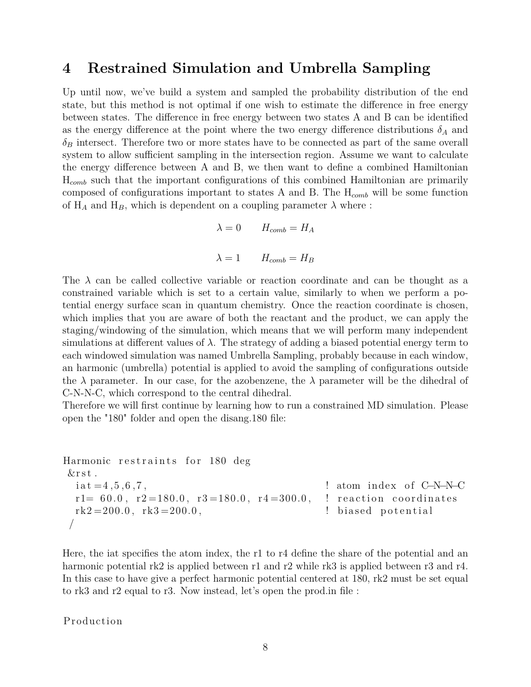### **4 Restrained Simulation and Umbrella Sampling**

Up until now, we've build a system and sampled the probability distribution of the end state, but this method is not optimal if one wish to estimate the difference in free energy between states. The difference in free energy between two states A and B can be identified as the energy difference at the point where the two energy difference distributions  $\delta_A$  and  $\delta_B$  intersect. Therefore two or more states have to be connected as part of the same overall system to allow sufficient sampling in the intersection region. Assume we want to calculate the energy difference between A and B, we then want to define a combined Hamiltonian H*comb* such that the important configurations of this combined Hamiltonian are primarily composed of configurations important to states A and B. The H*comb* will be some function of  $H_A$  and  $H_B$ , which is dependent on a coupling parameter  $\lambda$  where :

$$
\lambda = 0 \qquad H_{comb} = H_A
$$

$$
\lambda = 1 \qquad H_{comb} = H_B
$$

The  $\lambda$  can be called collective variable or reaction coordinate and can be thought as a constrained variable which is set to a certain value, similarly to when we perform a potential energy surface scan in quantum chemistry. Once the reaction coordinate is chosen, which implies that you are aware of both the reactant and the product, we can apply the staging/windowing of the simulation, which means that we will perform many independent simulations at different values of  $\lambda$ . The strategy of adding a biased potential energy term to each windowed simulation was named Umbrella Sampling, probably because in each window, an harmonic (umbrella) potential is applied to avoid the sampling of configurations outside the  $\lambda$  parameter. In our case, for the azobenzene, the  $\lambda$  parameter will be the dihedral of C-N-N-C, which correspond to the central dihedral.

Therefore we will first continue by learning how to run a constrained MD simulation. Please open the "180" folder and open the disang.180 file:

```
Harmonic restraints for 180 deg
 & rst.
   i \cdot a t = 4, 5, 6, 7, ! atom index of C−N–N–C
   r1= 60.0, r2=180.0, r3=180.0, r4=300.0, ! reaction coordinates
   rk2=200.0, rk3=200.0, rk3=200.0, rk3=200.0, rk3=200.0, rk3=200.0, rk3=200.0, rk3=200.0, kr3=200.0, kr4=200.0, kr5=200.0, kr5=200.0, kr5=200.0, kr5=200.0, kr5=200.0, kr5=200.0, kr5=200.0, kr5=200.0, kr5=2/
```
Here, the iat specifies the atom index, the r1 to r4 define the share of the potential and an harmonic potential rk2 is applied between r1 and r2 while rk3 is applied between r3 and r4. In this case to have give a perfect harmonic potential centered at 180, rk2 must be set equal to rk3 and r2 equal to r3. Now instead, let's open the prod.in file :

Production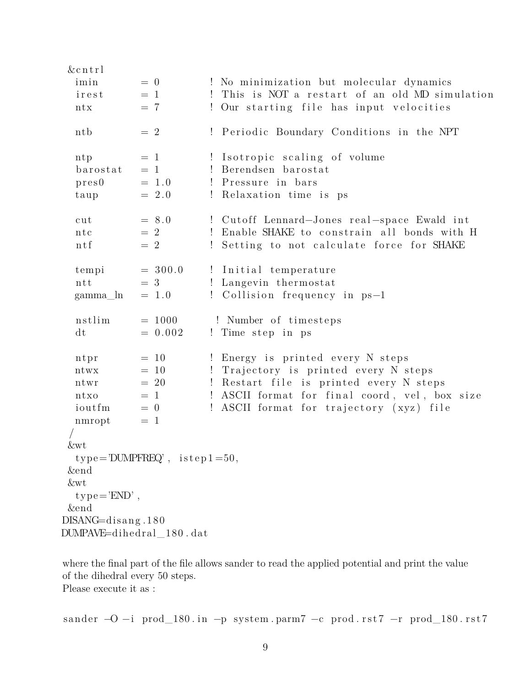| $&$ cntrl                |                                       |                                                               |
|--------------------------|---------------------------------------|---------------------------------------------------------------|
| imin                     | $= 0$                                 | ! No minimization but molecular dynamics                      |
| irest                    | $= 1$                                 | This is NOT a restart of an old MD simulation<br>$\mathbf{I}$ |
| ntx                      | $= 7$                                 | ! Our starting file has input velocities                      |
| ntb                      | $= 2$                                 | ! Periodic Boundary Conditions in the NPT                     |
| ntp                      | $= 1$                                 | ! Isotropic scaling of volume                                 |
| barostat                 | $= 1$                                 | ! Berendsen barostat                                          |
| pres0                    | $= 1.0$                               | ! Pressure in bars                                            |
| taup                     | $= 2.0$                               | ! Relaxation time is ps                                       |
| cut                      | $= 8.0$                               | ! Cutoff Lennard-Jones real-space Ewald int                   |
| ntc                      | $= 2$                                 | Enable SHAKE to constrain all bonds with H<br>$\mathbf{I}$    |
| $n \, t \, f$            | $= 2$                                 | Setting to not calculate force for SHAKE<br>Ţ                 |
|                          |                                       |                                                               |
| tempi                    | $= 300.0$                             | ! Initial temperature                                         |
| ntt                      | $=3$                                  | ! Langevin thermostat                                         |
| gamma_ln                 | $= 1.0$                               | ! Collision frequency in ps-1                                 |
| nstlim                   | $= 1000$                              | ! Number of timesteps                                         |
| dt                       | $= 0.002$                             | ! Time step in ps                                             |
|                          |                                       |                                                               |
| ntpr                     | $= 10$                                | ! Energy is printed every N steps                             |
| ntwx                     | $= 10$                                | Trajectory is printed every N steps<br>$\mathbf{I}$           |
| ntwr                     | $= 20$                                | Restart file is printed every N steps<br>$\mathbf{I}$         |
| ntxo                     | $= 1$                                 | ! ASCII format for final coord, vel, box size                 |
| ioutfm                   | $= 0$                                 | ASCII format for trajectory (xyz) file<br>$\mathbf{I}$        |
| nmropt                   | $= 1$                                 |                                                               |
|                          |                                       |                                                               |
| &wt                      |                                       |                                                               |
|                          | $type = 'DUMPFREQ'$ , $istep1 = 50$ , |                                                               |
| <i>&amp;end</i>          |                                       |                                                               |
| <i>&amp;wt</i>           |                                       |                                                               |
| $type = 'END'$ ,         |                                       |                                                               |
| <i><u>kend</u></i>       |                                       |                                                               |
| $DISANG=$ disang. 180    |                                       |                                                               |
| DUMPAVE=dihedral_180.dat |                                       |                                                               |

where the final part of the file allows sander to read the applied potential and print the value of the dihedral every  $50$  steps. Please execute it as :  $% \left\vert \cdot \right\rangle$ 

sander  $-O -i$  prod\_180.in  $-p$  system.parm7  $-c$  prod.rst7  $-r$  prod\_180.rst7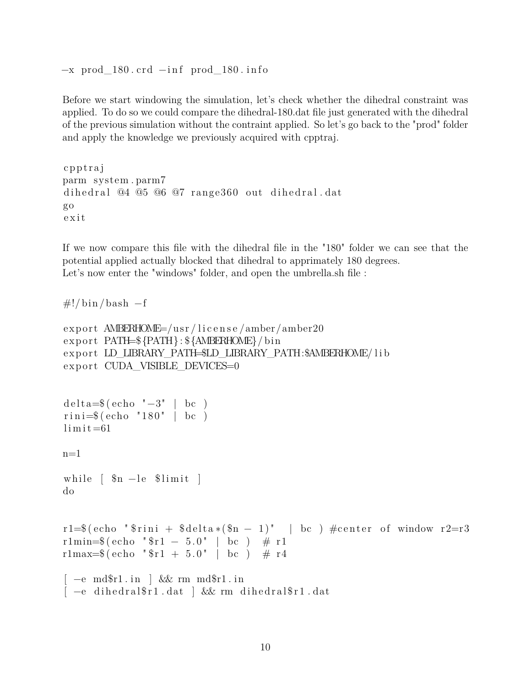$-x$  prod\_180. crd  $-i$ nf prod\_180. info

Before we start windowing the simulation, let's check whether the dihedral constraint was applied. To do so we could compare the dihedral-180.dat file just generated with the dihedral of the previous simulation without the contraint applied. So let's go back to the "prod" folder and apply the knowledge we previously acquired with cpptraj.

```
c p p t r aj
parm system . parm7
dihedral @4 @5 @6 @7 range360 out dihedral.dat
go
e x i t
```
If we now compare this file with the dihedral file in the "180" folder we can see that the potential applied actually blocked that dihedral to apprimately 180 degrees. Let's now enter the "windows" folder, and open the umbrella.sh file :

```
\#!/ \text{bin}/ \text{bash} -f
```

```
export AMBERHOME=/usr/license/amber/amber20
export PATH=${PATH}: ${AMBERHOME}/bin
export LD_LIBRARY_PATH=$LD_LIBRARY_PATH:$AMBERHOME/ lib
export CUDA_VISIBLE_DEVICES=0
delta = $(echo " -3" | bc")rini=\$(echo "180" | bc )\limit = 61n=1while \lceil \text{sn} -\text{le} \text{Similar} \rceildo
r1=$(echo "$rini + $delta *($n - 1)" | bc ) #center of window r2=r3
r1min=*(echo "*1 - 5.0" | bc ) # r1
r1max=*(echo "*1 + 5.0" | bc) # r4
\left[ -e \mod 2r1 \right] & \& \text{rm md} \r1. in
\left[ -e \right] dihedral\r1. dat \left[ k\& \right] rm dihedral\r1. dat
```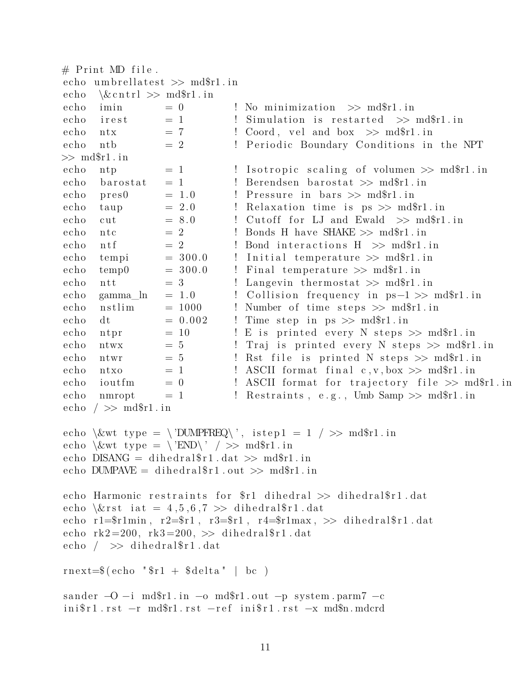```
# Print MD file.
echo umbrellatest \gg md$r1.in
echo\&\text{cntr1} \gg \text{md$}fl.in
echo
      imin
                  = 0! No minimization \gg md$r1.in
                  = 1echo! Simulation is restarted \gg md$r1.in
      irest
                               ! Coord, vel and box >> md$r1.in
                  = 7echo
      ntx! Periodic Boundary Conditions in the NPT
echo
                  = 2n<sub>th</sub>\gg \text{md$}fl. in
echo= 1! Isotropic scaling of volumen \gg md$r1.in
      ntpechobarostat
                  = 1! Berendsen barostat \gg md$r1.in
echo
      pres0= 1.0! Pressure in bars \gg md$r1.in
                  = 2.0! Relaxation time is ps \gg md\r1.in
echo
      taup
                  = 8.0echo
                               ! Cutoff for LJ and Ewald \gg md$r1.in
      cut
                  = 2echon_{\rm t}! Bonds H have SHAKE \gg md$r1.in
                  = 2! Bond interactions H \gg m dfr1.in
echo
      n \text{tf}echo= 300.0! Initial temperature \gg md$r1.in
      tempi
echotemp0= 300.0! Final temperature \gg md$r1.in
echo
                               ! Langevin thermostat \gg md$r1.in
      ntt
                  = 3
echo
      gamma_ln
                  = 1.0! Collision frequency in ps-1 \gg m dfrl.in
                               ! Number of time steps \gg md$r1.in
echonstlim
                  = 1000= 0.002echo
                              ! Time step in ps \gg m dfr1.in
      dtecho
                  = 10! E is printed every N steps \gg md$r1.in
      ntpr
                  = 5! Traj is printed every N steps >> md$r1.in
echo
      ntwx
echontwr
                  = 5! Rst file is printed N steps \gg md$r1.in
echo
                  = 1! ASCII format final c, v, box \gg m dfr1.in
      ntxo
                  = 0echo
      ioutfm
                               ! ASCII format for trajectory file \gg md$r1.in
echo
                               ! Restraints, e.g., Umb Samp \gg md$r1.in
      nmropt
                  = 1
echo / \gg md$r1.in
echo \&wt type = \'DUMPFREQ\', istep1 = 1 / >> md$r1.in
echo \&wt type = \'END\' / >> md$r1.in
echo DISANG = dihedralr1.dat >> mdr1.in
echo DUMPAVE = dihedralr1.out >> mdr1.in
echo Harmonic restraints for $r1 dihedral >> dihedral$r1.dat
echo \text{first} iat = 4,5,6,7 >> dihedral$r1.dat
echo r1=$r1min, r2=$r1, r3=$r1, r4=$r1max, >> dihedral$r1.dat
echo rk2=200, rk3=200, \gg dihedral$r1.dat
echo / \gg dihedral$r1.dat
rnext=\$(echo "\$r1 + \$delta1 | bc )
sander -0 -i md$r1.in -o md$r1.out -p system.parm7 -c
\text{inif } r1 \text{ rst } -r \text{ mdf } r1 \text{ rst } -\text{ref } \text{inif } r1 \text{ rst } -x \text{ mdf } r1
```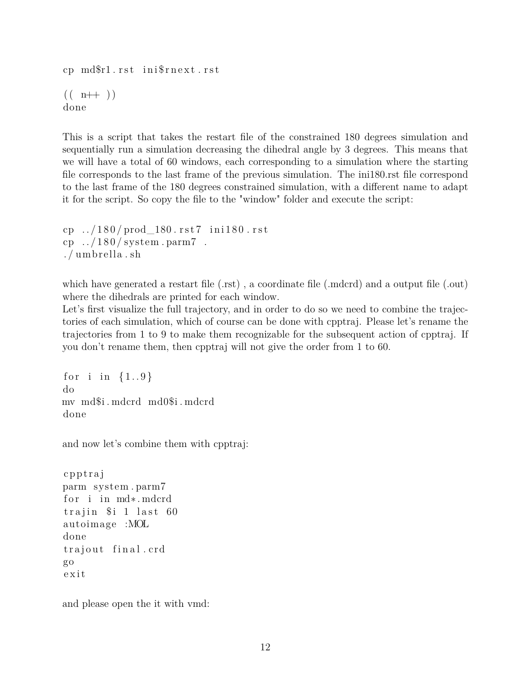cp md\$r1.rst ini\$rnext.rst  $(( n++) )$ done

This is a script that takes the restart file of the constrained 180 degrees simulation and sequentially run a simulation decreasing the dihedral angle by 3 degrees. This means that we will have a total of 60 windows, each corresponding to a simulation where the starting file corresponds to the last frame of the previous simulation. The ini180.rst file correspond to the last frame of the 180 degrees constrained simulation, with a different name to adapt it for the script. So copy the file to the "window" folder and execute the script:

```
cp 1/180 / prod 180 rst7 in i180 rst
cp \ldots/180/ system . parm7.
. /umbrella .sh
```
which have generated a restart file (.rst), a coordinate file (.mdcrd) and a output file (.out) where the dihedrals are printed for each window.

Let's first visualize the full trajectory, and in order to do so we need to combine the trajectories of each simulation, which of course can be done with cpptraj. Please let's rename the trajectories from 1 to 9 to make them recognizable for the subsequent action of cpptraj. If you don't rename them, then cpptraj will not give the order from 1 to 60.

for i in  ${1..9}$ do mv md\$i . mdcrd md0\$i . mdcrd done

and now let's combine them with cpptraj:

```
c p p t r aj
parm system . parm7
for i in md∗. mdcrd
trajin $ i 1 last 60
autoimage :MOL
done
trajout final.crd
go
e x i t
```
and please open the it with vmd: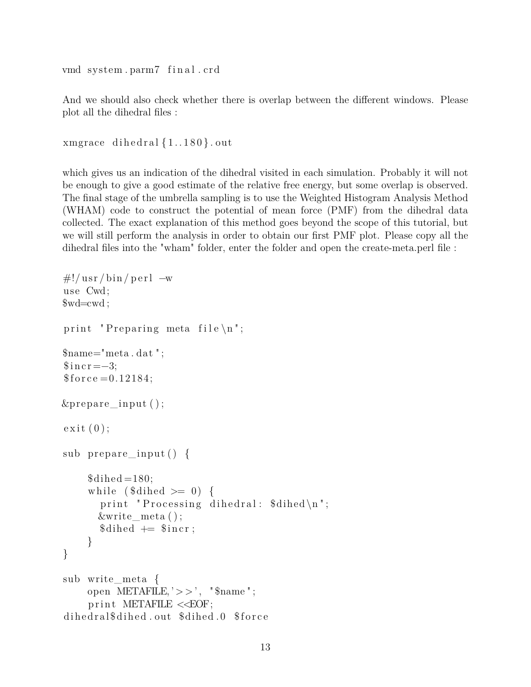ymd system.parm7 final.crd

And we should also check whether there is overlap between the different windows. Please plot all the dihedral files :

```
xmgrace dihedral {1..180}. out
```
which gives us an indication of the dihedral visited in each simulation. Probably it will not be enough to give a good estimate of the relative free energy, but some overlap is observed. The final stage of the umbrella sampling is to use the Weighted Histogram Analysis Method (WHAM) code to construct the potential of mean force (PMF) from the dihedral data collected. The exact explanation of this method goes beyond the scope of this tutorial, but we will still perform the analysis in order to obtain our first PMF plot. Please copy all the dihedral files into the "wham" folder, enter the folder and open the create-meta.perl file :

```
\#!/usr/bin/perl —w
u se Cwd;
$wd=cwd ;
print "Preparing meta file\n\begin{bmatrix}\nn\end{bmatrix}";
$name="meta . dat " ;
\text{\$inc} \, r = -3;$force = 0.12184;\& prepare input ( );
ext{ (0)};
sub prepare input () {
      $dihed = 180;while (\text{8dihed} \geq 0) {
         print "Processing dihedral: \deltadihed\n\cdot";
        &write_meta ( ) ;
         $dihed \text{ } \models \text{ } \$ \text{incr};
      }
}
sub write_meta {
      open METAFILE, \geq > \degree, \degree $name \degree;
      print METAFILE <<EOF;
dihedral$dihed.out $dihed.0 $force
```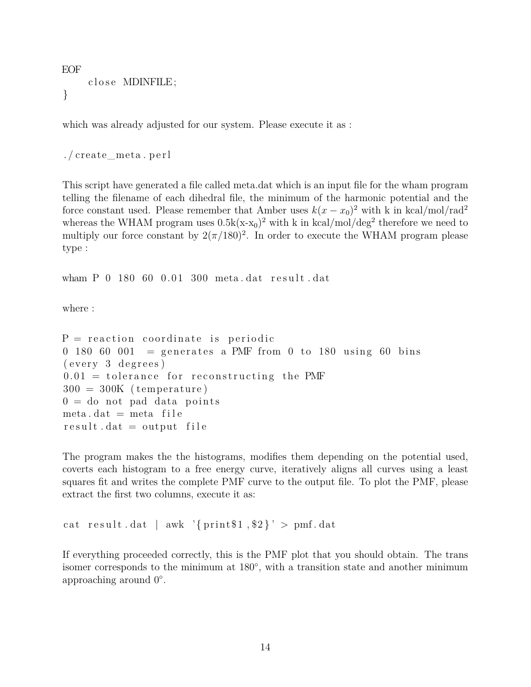EOF close MDINFILE; }

which was already adjusted for our system. Please execute it as :

. / create\_meta . p e r l

This script have generated a file called meta.dat which is an input file for the wham program telling the filename of each dihedral file, the minimum of the harmonic potential and the force constant used. Please remember that Amber uses  $k(x - x_0)^2$  with k in kcal/mol/rad<sup>2</sup> whereas the WHAM program uses  $0.5k(x-x_0)^2$  with k in kcal/mol/deg<sup>2</sup> therefore we need to multiply our force constant by  $2(\pi/180)^2$ . In order to execute the WHAM program please type :

wham P 0 180 60 0.01 300 meta.dat result.dat

where :

```
P = reaction coordinate is periodic
0 180 60 001 = generates a PMF from 0 to 180 using 60 bins
(every 3 degrees)0.01 = tolerance for reconstructing the PMF
300 = 300K (temperature)
0 = do not pad data points
meta.dat = meta fileresult.dat = output file
```
The program makes the the histograms, modifies them depending on the potential used, coverts each histogram to a free energy curve, iteratively aligns all curves using a least squares fit and writes the complete PMF curve to the output file. To plot the PMF, please extract the first two columns, execute it as:

```
cat result dat | awk '{print$1,$2}' > pmf.dat
```
If everything proceeded correctly, this is the PMF plot that you should obtain. The trans isomer corresponds to the minimum at 180<sup>°</sup>, with a transition state and another minimum approaching around  $0^\circ$ .